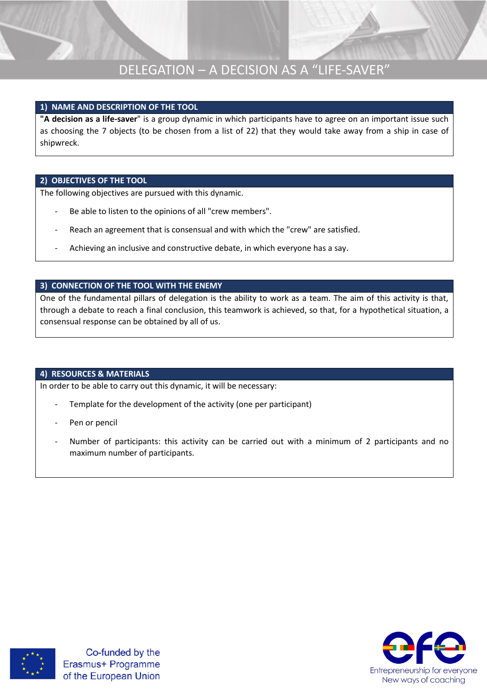#### **1) NAME AND DESCRIPTION OF THE TOOL**

**"A decision as a life-saver**" is a group dynamic in which participants have to agree on an important issue such as choosing the 7 objects (to be chosen from a list of 22) that they would take away from a ship in case of shipwreck.

#### **2) OBJECTIVES OF THE TOOL**

The following objectives are pursued with this dynamic.

- Be able to listen to the opinions of all "crew members".
- Reach an agreement that is consensual and with which the "crew" are satisfied.
- Achieving an inclusive and constructive debate, in which everyone has a say.

#### **3) CONNECTION OF THE TOOL WITH THE ENEMY**

One of the fundamental pillars of delegation is the ability to work as a team. The aim of this activity is that, through a debate to reach a final conclusion, this teamwork is achieved, so that, for a hypothetical situation, a consensual response can be obtained by all of us.

#### **4) RESOURCES & MATERIALS**

In order to be able to carry out this dynamic, it will be necessary:

- Template for the development of the activity (one per participant)
- Pen or pencil
- Number of participants: this activity can be carried out with a minimum of 2 participants and no maximum number of participants.



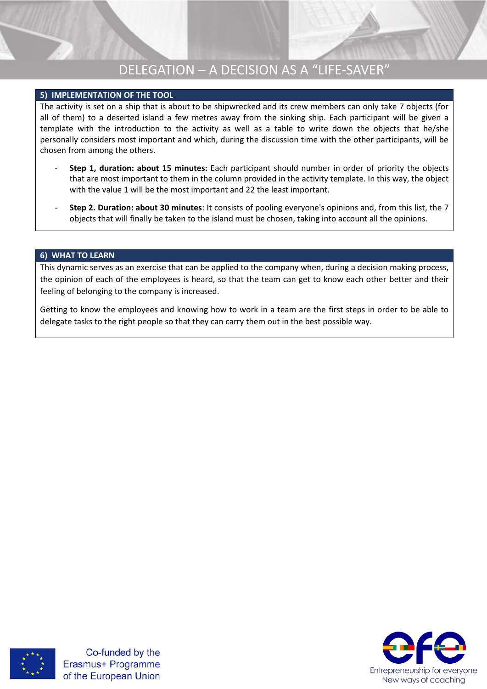#### **5) IMPLEMENTATION OF THE TOOL**

The activity is set on a ship that is about to be shipwrecked and its crew members can only take 7 objects (for all of them) to a deserted island a few metres away from the sinking ship. Each participant will be given a template with the introduction to the activity as well as a table to write down the objects that he/she personally considers most important and which, during the discussion time with the other participants, will be chosen from among the others.

- **Step 1, duration: about 15 minutes:** Each participant should number in order of priority the objects that are most important to them in the column provided in the activity template. In this way, the object with the value 1 will be the most important and 22 the least important.
- **Step 2. Duration: about 30 minutes**: It consists of pooling everyone's opinions and, from this list, the 7 objects that will finally be taken to the island must be chosen, taking into account all the opinions.

#### **6) WHAT TO LEARN**

This dynamic serves as an exercise that can be applied to the company when, during a decision making process, the opinion of each of the employees is heard, so that the team can get to know each other better and their feeling of belonging to the company is increased.

Getting to know the employees and knowing how to work in a team are the first steps in order to be able to delegate tasks to the right people so that they can carry them out in the best possible way.



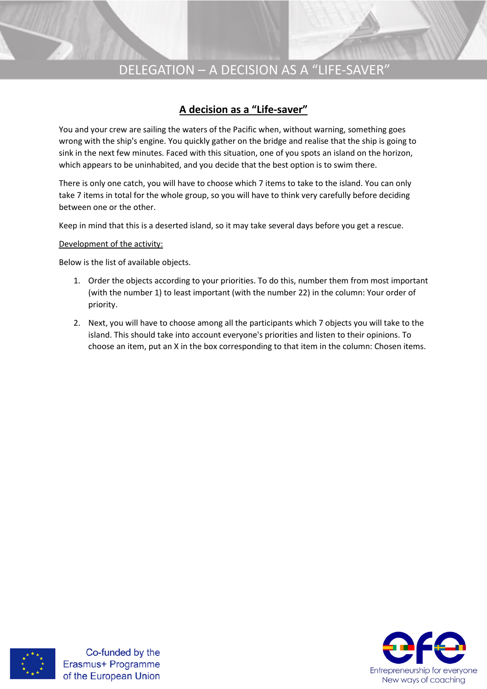### **A decision as a "Life-saver"**

You and your crew are sailing the waters of the Pacific when, without warning, something goes wrong with the ship's engine. You quickly gather on the bridge and realise that the ship is going to sink in the next few minutes. Faced with this situation, one of you spots an island on the horizon, which appears to be uninhabited, and you decide that the best option is to swim there.

There is only one catch, you will have to choose which 7 items to take to the island. You can only take 7 items in total for the whole group, so you will have to think very carefully before deciding between one or the other.

Keep in mind that this is a deserted island, so it may take several days before you get a rescue.

#### Development of the activity:

Below is the list of available objects.

- 1. Order the objects according to your priorities. To do this, number them from most important (with the number 1) to least important (with the number 22) in the column: Your order of priority.
- 2. Next, you will have to choose among all the participants which 7 objects you will take to the island. This should take into account everyone's priorities and listen to their opinions. To choose an item, put an X in the box corresponding to that item in the column: Chosen items.